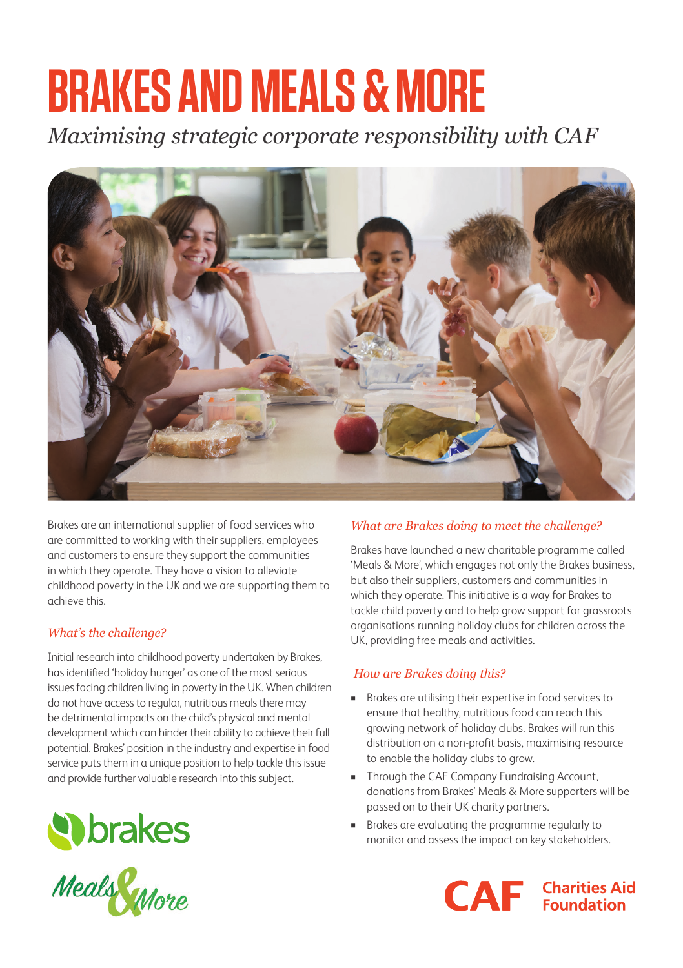# **BRAKES AND MEALS & MORE**

*Maximising strategic corporate responsibility with CAF* 



Brakes are an international supplier of food services who are committed to working with their suppliers, employees and customers to ensure they support the communities in which they operate. They have a vision to alleviate childhood poverty in the UK and we are supporting them to achieve this.

## *What's the challenge?*

Initial research into childhood poverty undertaken by Brakes, has identified 'holiday hunger' as one of the most serious issues facing children living in poverty in the UK. When children do not have access to regular, nutritious meals there may be detrimental impacts on the child's physical and mental development which can hinder their ability to achieve their full potential. Brakes' position in the industry and expertise in food service puts them in a unique position to help tackle this issue and provide further valuable research into this subject.



#### *What are Brakes doing to meet the challenge?*

Brakes have launched a new charitable programme called 'Meals & More', which engages not only the Brakes business, but also their suppliers, customers and communities in which they operate. This initiative is a way for Brakes to tackle child poverty and to help grow support for grassroots organisations running holiday clubs for children across the UK, providing free meals and activities.

## *How are Brakes doing this?*

- Brakes are utilising their expertise in food services to ensure that healthy, nutritious food can reach this growing network of holiday clubs. Brakes will run this distribution on a non-profit basis, maximising resource to enable the holiday clubs to grow.
- **n** Through the CAF Company Fundraising Account, donations from Brakes' Meals & More supporters will be passed on to their UK charity partners.
- <sup>n</sup> Brakes are evaluating the programme regularly to monitor and assess the impact on key stakeholders.